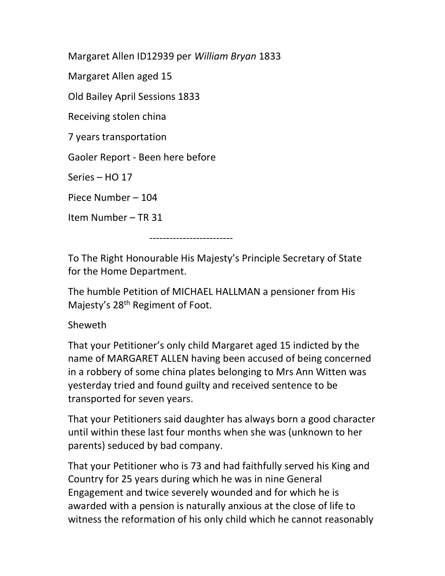Margaret Allen ID12939 per William Bryan 1833

Margaret Allen aged 15

Old Bailey April Sessions 1833

Receiving stolen china

7 years transportation

Gaoler Report - Been here before

Series – HO 17

Piece Number – 104

Item Number – TR 31

-------------------------

To The Right Honourable His Majesty's Principle Secretary of State for the Home Department.

The humble Petition of MICHAEL HALLMAN a pensioner from His Majesty's 28th Regiment of Foot.

## Sheweth

That your Petitioner's only child Margaret aged 15 indicted by the name of MARGARET ALLEN having been accused of being concerned in a robbery of some china plates belonging to Mrs Ann Witten was yesterday tried and found guilty and received sentence to be transported for seven years.

That your Petitioners said daughter has always born a good character until within these last four months when she was (unknown to her parents) seduced by bad company.

That your Petitioner who is 73 and had faithfully served his King and Country for 25 years during which he was in nine General Engagement and twice severely wounded and for which he is awarded with a pension is naturally anxious at the close of life to witness the reformation of his only child which he cannot reasonably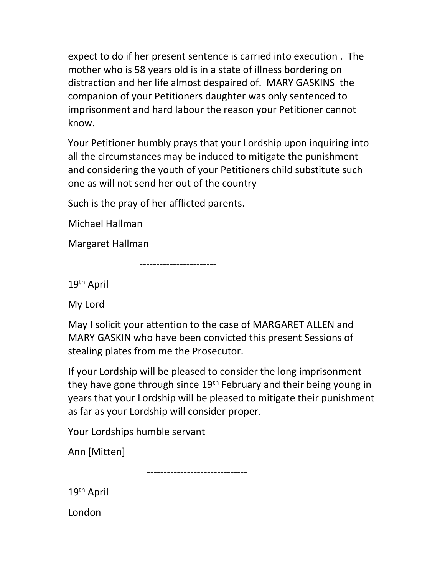expect to do if her present sentence is carried into execution . The mother who is 58 years old is in a state of illness bordering on distraction and her life almost despaired of. MARY GASKINS the companion of your Petitioners daughter was only sentenced to imprisonment and hard labour the reason your Petitioner cannot know.

Your Petitioner humbly prays that your Lordship upon inquiring into all the circumstances may be induced to mitigate the punishment and considering the youth of your Petitioners child substitute such one as will not send her out of the country

Such is the pray of her afflicted parents.

Michael Hallman

Margaret Hallman

-----------------------

19th April

My Lord

May I solicit your attention to the case of MARGARET ALLEN and MARY GASKIN who have been convicted this present Sessions of stealing plates from me the Prosecutor.

If your Lordship will be pleased to consider the long imprisonment they have gone through since 19<sup>th</sup> February and their being young in years that your Lordship will be pleased to mitigate their punishment as far as your Lordship will consider proper.

Your Lordships humble servant

Ann [Mitten]

------------------------------

19th April

London